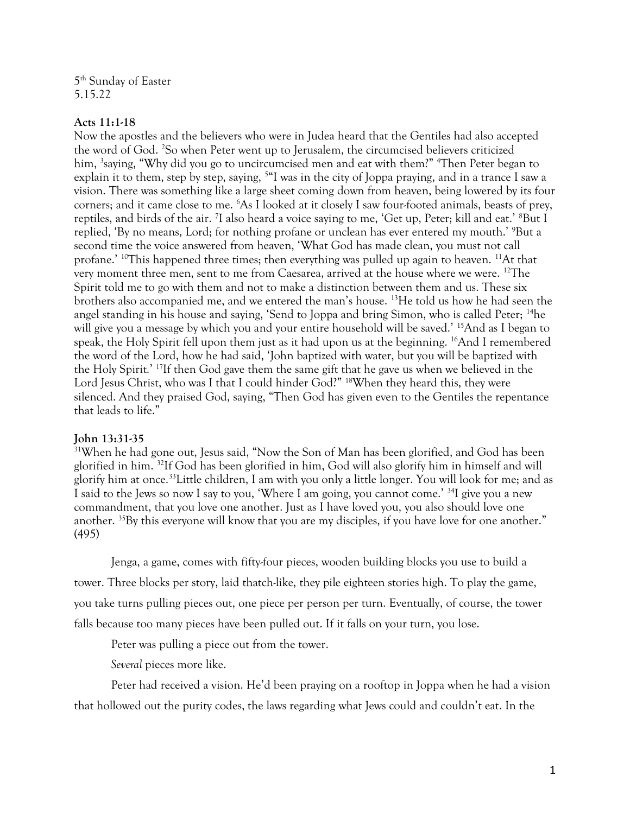5 th Sunday of Easter 5.15.22

## **Acts 11:1-18**

Now the apostles and the believers who were in Judea heard that the Gentiles had also accepted the word of God. <sup>2</sup>So when Peter went up to Jerusalem, the circumcised believers criticized him, <sup>3</sup>saying, "Why did you go to uncircumcised men and eat with them?" <sup>4</sup>Then Peter began to explain it to them, step by step, saying, <sup>5</sup>"I was in the city of Joppa praying, and in a trance I saw a vision. There was something like a large sheet coming down from heaven, being lowered by its four corners; and it came close to me. <sup>6</sup>As I looked at it closely I saw four-footed animals, beasts of prey, reptiles, and birds of the air. <sup>7</sup>I also heard a voice saying to me, 'Get up, Peter; kill and eat.' <sup>8</sup>But I replied, 'By no means, Lord; for nothing profane or unclean has ever entered my mouth.' <sup>9</sup>But a second time the voice answered from heaven, 'What God has made clean, you must not call profane.'  $^{10}$ This happened three times; then everything was pulled up again to heaven.  $^{11}$ At that very moment three men, sent to me from Caesarea, arrived at the house where we were. <sup>12</sup>The Spirit told me to go with them and not to make a distinction between them and us. These six brothers also accompanied me, and we entered the man's house. <sup>13</sup>He told us how he had seen the angel standing in his house and saying, 'Send to Joppa and bring Simon, who is called Peter; <sup>14</sup>he will give you a message by which you and your entire household will be saved.' <sup>15</sup>And as I began to speak, the Holy Spirit fell upon them just as it had upon us at the beginning. <sup>16</sup>And I remembered the word of the Lord, how he had said, 'John baptized with water, but you will be baptized with the Holy Spirit.' <sup>17</sup>If then God gave them the same gift that he gave us when we believed in the Lord Jesus Christ, who was I that I could hinder God?" <sup>18</sup>When they heard this, they were silenced. And they praised God, saying, "Then God has given even to the Gentiles the repentance that leads to life."

## **John 13:31-35**

<sup>31</sup>When he had gone out, Jesus said, "Now the Son of Man has been glorified, and God has been glorified in him. <sup>32</sup>If God has been glorified in him, God will also glorify him in himself and will glorify him at once.<sup>33</sup>Little children, I am with you only a little longer. You will look for me; and as I said to the Jews so now I say to you, 'Where I am going, you cannot come.' <sup>34</sup>I give you a new commandment, that you love one another. Just as I have loved you, you also should love one another. <sup>35</sup>By this everyone will know that you are my disciples, if you have love for one another." (495)

Jenga, a game, comes with fifty-four pieces, wooden building blocks you use to build a tower. Three blocks per story, laid thatch-like, they pile eighteen stories high. To play the game, you take turns pulling pieces out, one piece per person per turn. Eventually, of course, the tower falls because too many pieces have been pulled out. If it falls on your turn, you lose.

Peter was pulling a piece out from the tower.

*Several* pieces more like.

Peter had received a vision. He'd been praying on a rooftop in Joppa when he had a vision that hollowed out the purity codes, the laws regarding what Jews could and couldn't eat. In the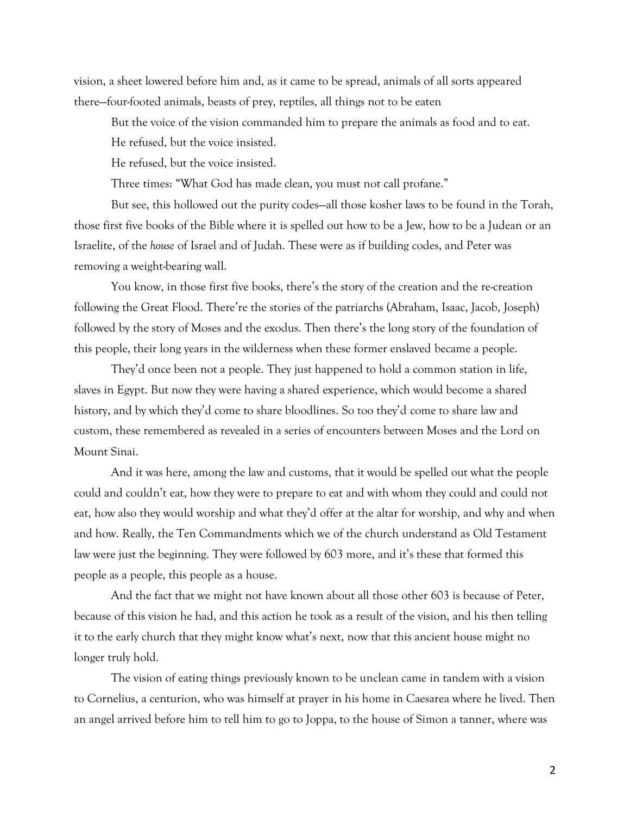vision, a sheet lowered before him and, as it came to be spread, animals of all sorts appeared there—four-footed animals, beasts of prey, reptiles, all things not to be eaten

But the voice of the vision commanded him to prepare the animals as food and to eat.

He refused, but the voice insisted.

He refused, but the voice insisted.

Three times: "What God has made clean, you must not call profane."

But see, this hollowed out the purity codes—all those kosher laws to be found in the Torah, those first five books of the Bible where it is spelled out how to be a Jew, how to be a Judean or an Israelite, of the *house* of Israel and of Judah. These were as if building codes, and Peter was removing a weight-bearing wall.

You know, in those first five books, there's the story of the creation and the re-creation following the Great Flood. There're the stories of the patriarchs (Abraham, Isaac, Jacob, Joseph) followed by the story of Moses and the exodus. Then there's the long story of the foundation of this people, their long years in the wilderness when these former enslaved became a people.

They'd once been not a people. They just happened to hold a common station in life, slaves in Egypt. But now they were having a shared experience, which would become a shared history, and by which they'd come to share bloodlines. So too they'd come to share law and custom, these remembered as revealed in a series of encounters between Moses and the Lord on Mount Sinai.

And it was here, among the law and customs, that it would be spelled out what the people could and couldn't eat, how they were to prepare to eat and with whom they could and could not eat, how also they would worship and what they'd offer at the altar for worship, and why and when and how. Really, the Ten Commandments which we of the church understand as Old Testament law were just the beginning. They were followed by 603 more, and it's these that formed this people as a people, this people as a house.

And the fact that we might not have known about all those other 603 is because of Peter, because of this vision he had, and this action he took as a result of the vision, and his then telling it to the early church that they might know what's next, now that this ancient house might no longer truly hold.

The vision of eating things previously known to be unclean came in tandem with a vision to Cornelius, a centurion, who was himself at prayer in his home in Caesarea where he lived. Then an angel arrived before him to tell him to go to Joppa, to the house of Simon a tanner, where was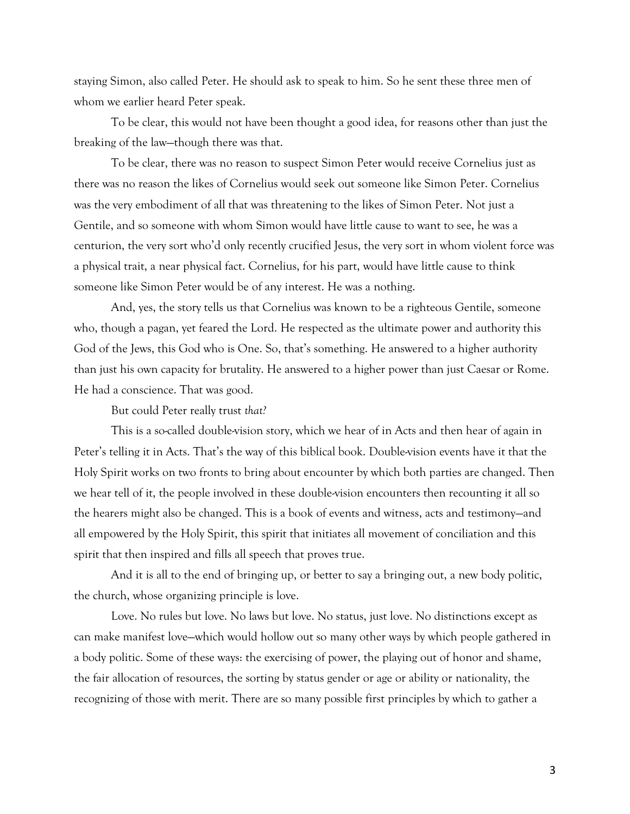staying Simon, also called Peter. He should ask to speak to him. So he sent these three men of whom we earlier heard Peter speak.

To be clear, this would not have been thought a good idea, for reasons other than just the breaking of the law—though there was that.

To be clear, there was no reason to suspect Simon Peter would receive Cornelius just as there was no reason the likes of Cornelius would seek out someone like Simon Peter. Cornelius was the very embodiment of all that was threatening to the likes of Simon Peter. Not just a Gentile, and so someone with whom Simon would have little cause to want to see, he was a centurion, the very sort who'd only recently crucified Jesus, the very sort in whom violent force was a physical trait, a near physical fact. Cornelius, for his part, would have little cause to think someone like Simon Peter would be of any interest. He was a nothing.

And, yes, the story tells us that Cornelius was known to be a righteous Gentile, someone who, though a pagan, yet feared the Lord. He respected as the ultimate power and authority this God of the Jews, this God who is One. So, that's something. He answered to a higher authority than just his own capacity for brutality. He answered to a higher power than just Caesar or Rome. He had a conscience. That was good.

But could Peter really trust *that?*

This is a so-called double-vision story, which we hear of in Acts and then hear of again in Peter's telling it in Acts. That's the way of this biblical book. Double-vision events have it that the Holy Spirit works on two fronts to bring about encounter by which both parties are changed. Then we hear tell of it, the people involved in these double-vision encounters then recounting it all so the hearers might also be changed. This is a book of events and witness, acts and testimony—and all empowered by the Holy Spirit, this spirit that initiates all movement of conciliation and this spirit that then inspired and fills all speech that proves true.

And it is all to the end of bringing up, or better to say a bringing out, a new body politic, the church, whose organizing principle is love.

Love. No rules but love. No laws but love. No status, just love. No distinctions except as can make manifest love—which would hollow out so many other ways by which people gathered in a body politic. Some of these ways: the exercising of power, the playing out of honor and shame, the fair allocation of resources, the sorting by status gender or age or ability or nationality, the recognizing of those with merit. There are so many possible first principles by which to gather a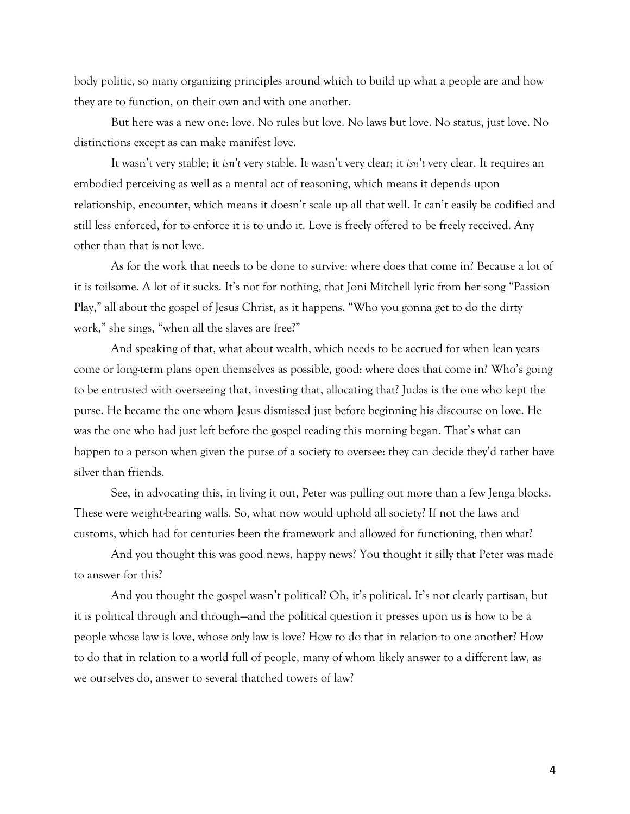body politic, so many organizing principles around which to build up what a people are and how they are to function, on their own and with one another.

But here was a new one: love. No rules but love. No laws but love. No status, just love. No distinctions except as can make manifest love.

It wasn't very stable; it *isn't* very stable. It wasn't very clear; it *isn't* very clear. It requires an embodied perceiving as well as a mental act of reasoning, which means it depends upon relationship, encounter, which means it doesn't scale up all that well. It can't easily be codified and still less enforced, for to enforce it is to undo it. Love is freely offered to be freely received. Any other than that is not love.

As for the work that needs to be done to survive: where does that come in? Because a lot of it is toilsome. A lot of it sucks. It's not for nothing, that Joni Mitchell lyric from her song "Passion Play," all about the gospel of Jesus Christ, as it happens. "Who you gonna get to do the dirty work," she sings, "when all the slaves are free?"

And speaking of that, what about wealth, which needs to be accrued for when lean years come or long-term plans open themselves as possible, good: where does that come in? Who's going to be entrusted with overseeing that, investing that, allocating that? Judas is the one who kept the purse. He became the one whom Jesus dismissed just before beginning his discourse on love. He was the one who had just left before the gospel reading this morning began. That's what can happen to a person when given the purse of a society to oversee: they can decide they'd rather have silver than friends.

See, in advocating this, in living it out, Peter was pulling out more than a few Jenga blocks. These were weight-bearing walls. So, what now would uphold all society? If not the laws and customs, which had for centuries been the framework and allowed for functioning, then what?

And you thought this was good news, happy news? You thought it silly that Peter was made to answer for this?

And you thought the gospel wasn't political? Oh, it's political. It's not clearly partisan, but it is political through and through—and the political question it presses upon us is how to be a people whose law is love, whose *only* law is love? How to do that in relation to one another? How to do that in relation to a world full of people, many of whom likely answer to a different law, as we ourselves do, answer to several thatched towers of law?